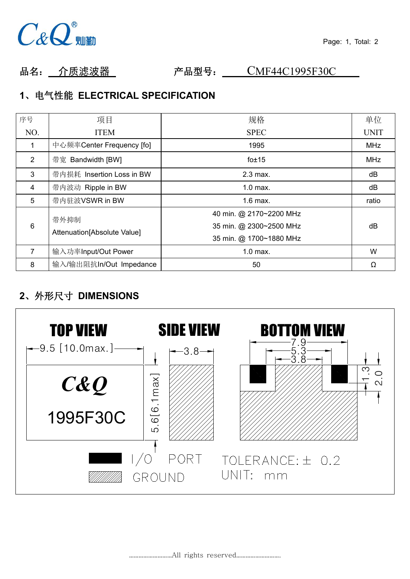

品名: 介质滤波器 产品型号: CMF44C1995F30C

# **1**、电气性能 **ELECTRICAL SPECIFICATION**

| 单位<br>序号<br>规格<br>项目<br>NO.<br><b>ITEM</b><br><b>SPEC</b><br><b>UNIT</b><br>中心频率Center Frequency [fo]<br>MHz<br>1995<br>带宽 Bandwidth [BW]<br>$\overline{2}$<br>$f$ o $\pm$ 15<br>MHz<br>带内损耗 Insertion Loss in BW<br>3<br>dB<br>2.3 max.<br>带内波动 Ripple in BW<br>4<br>dB<br>$1.0$ max.<br>5<br>带内驻波VSWR in BW<br>$1.6$ max.<br>ratio<br>40 min. @ 2170~2200 MHz<br>带外抑制<br>6<br>35 min. @ 2300~2500 MHz<br>dB<br>Attenuation [Absolute Value]<br>35 min. @ 1700~1880 MHz<br>$\overline{7}$<br>W<br>输入功率Input/Out Power<br>$1.0$ max.<br>输入/输出阻抗In/Out Impedance<br>8<br>50<br>Ω |  |  |
|---------------------------------------------------------------------------------------------------------------------------------------------------------------------------------------------------------------------------------------------------------------------------------------------------------------------------------------------------------------------------------------------------------------------------------------------------------------------------------------------------------------------------------------------------------------------------------|--|--|
|                                                                                                                                                                                                                                                                                                                                                                                                                                                                                                                                                                                 |  |  |
|                                                                                                                                                                                                                                                                                                                                                                                                                                                                                                                                                                                 |  |  |
|                                                                                                                                                                                                                                                                                                                                                                                                                                                                                                                                                                                 |  |  |
|                                                                                                                                                                                                                                                                                                                                                                                                                                                                                                                                                                                 |  |  |
|                                                                                                                                                                                                                                                                                                                                                                                                                                                                                                                                                                                 |  |  |
|                                                                                                                                                                                                                                                                                                                                                                                                                                                                                                                                                                                 |  |  |
|                                                                                                                                                                                                                                                                                                                                                                                                                                                                                                                                                                                 |  |  |
|                                                                                                                                                                                                                                                                                                                                                                                                                                                                                                                                                                                 |  |  |
|                                                                                                                                                                                                                                                                                                                                                                                                                                                                                                                                                                                 |  |  |
|                                                                                                                                                                                                                                                                                                                                                                                                                                                                                                                                                                                 |  |  |

# **2**、外形尺寸 **DIMENSIONS**